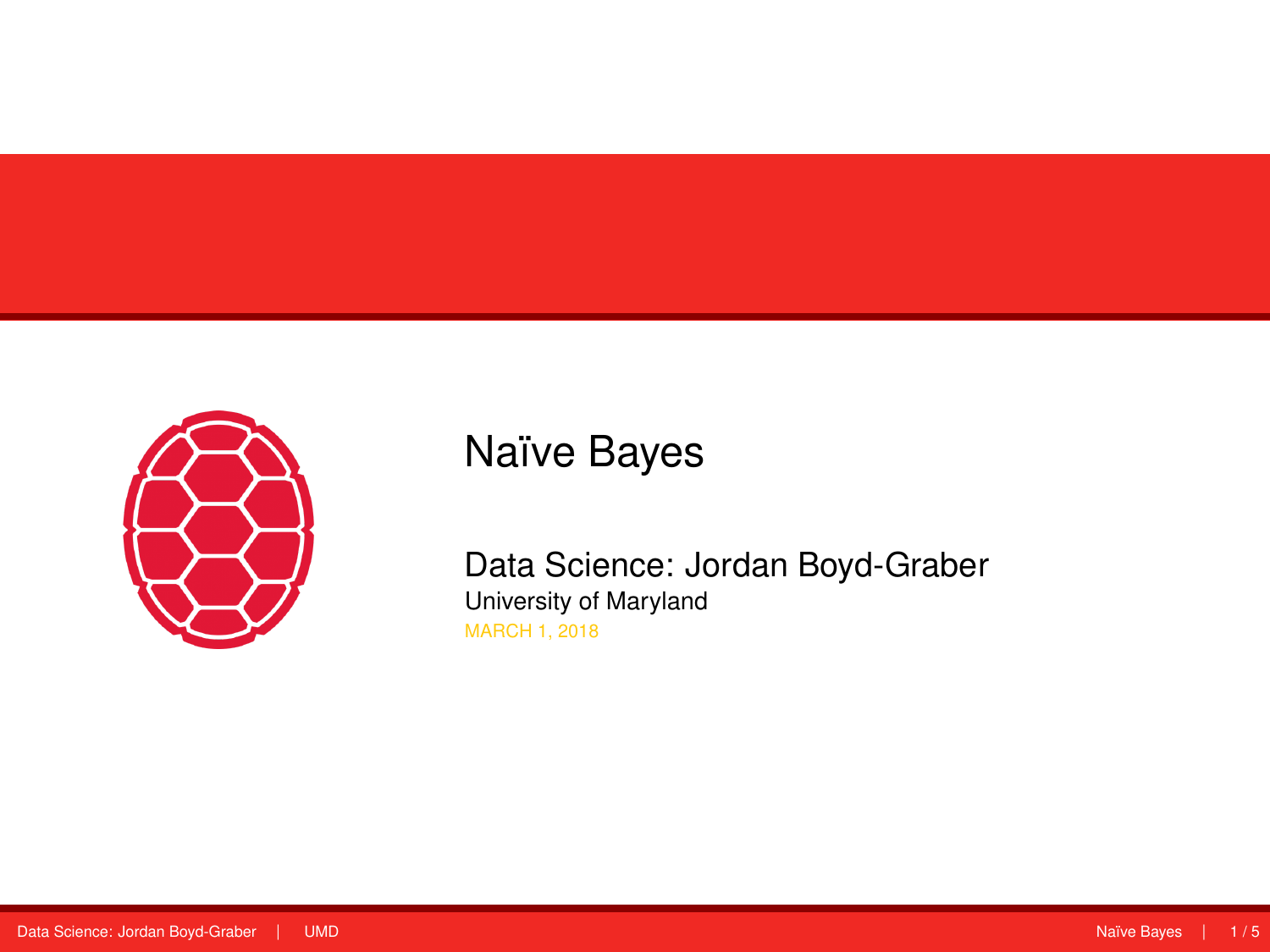<span id="page-0-0"></span>

# Naïve Bayes

Data Science: Jordan Boyd-Graber University of Maryland MARCH 1, 2018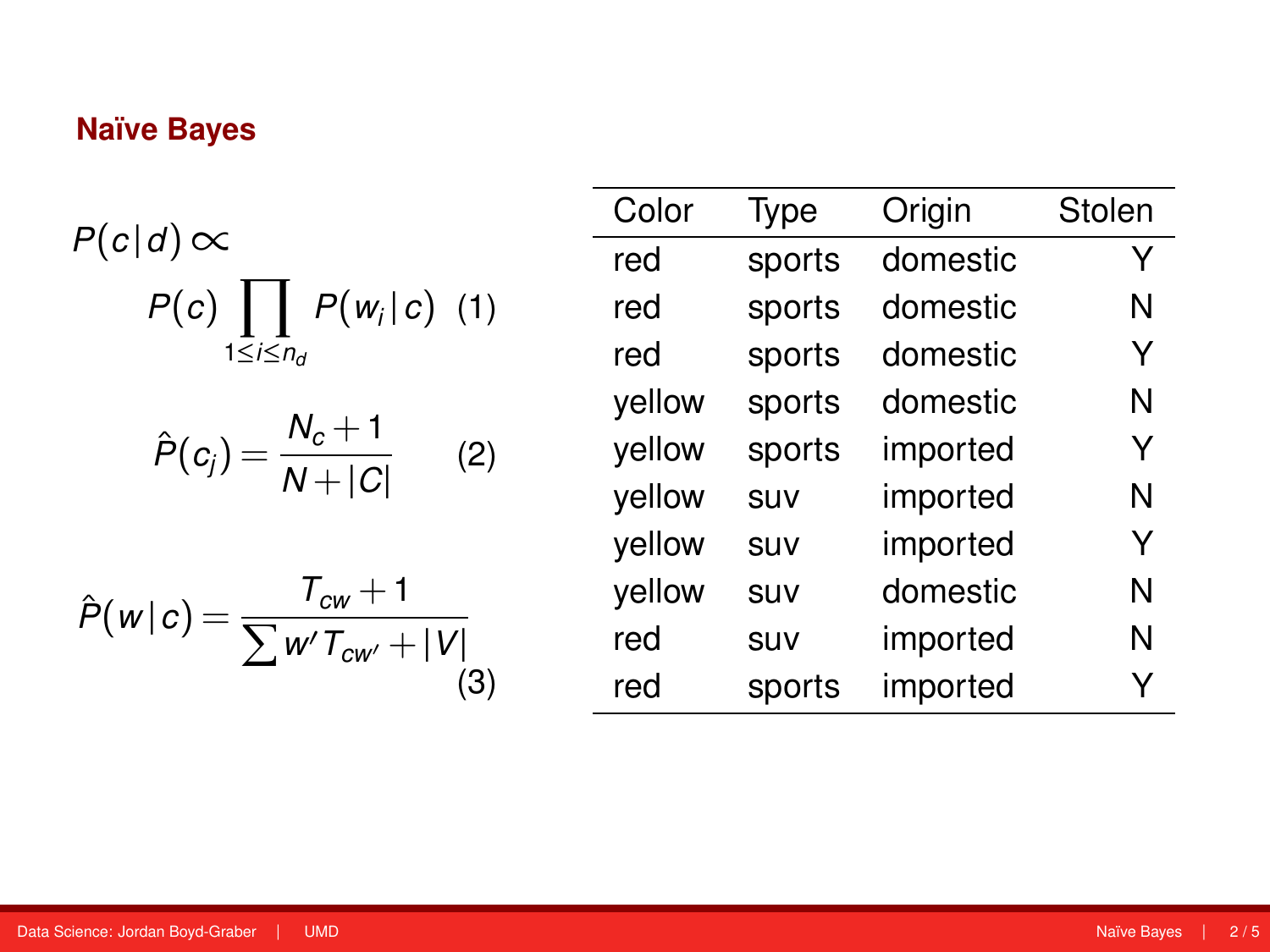## **Naïve Bayes**

$$
P(c|d) \propto
$$
  
 
$$
P(c) \prod_{1 \leq i \leq n_d} P(w_i|c) \quad (1)
$$

$$
\hat{P}(c_j) = \frac{N_c + 1}{N + |C|} \qquad (2)
$$

$$
\hat{P}(w|c) = \frac{T_{cw} + 1}{\sum w' T_{cw'} + |V|}
$$
(3)

| Color  | Type   | Origin   | Stolen |
|--------|--------|----------|--------|
| red    | sports | domestic | Y      |
| red    | sports | domestic | N      |
| red    | sports | domestic | Y      |
| yellow | sports | domestic | N      |
| yellow | sports | imported | Y      |
| yellow | SUV    | imported | N      |
| yellow | SUV    | imported | Y      |
| yellow | SUV    | domestic | N      |
| red    | suv    | imported | N      |
| red    | sports | imported |        |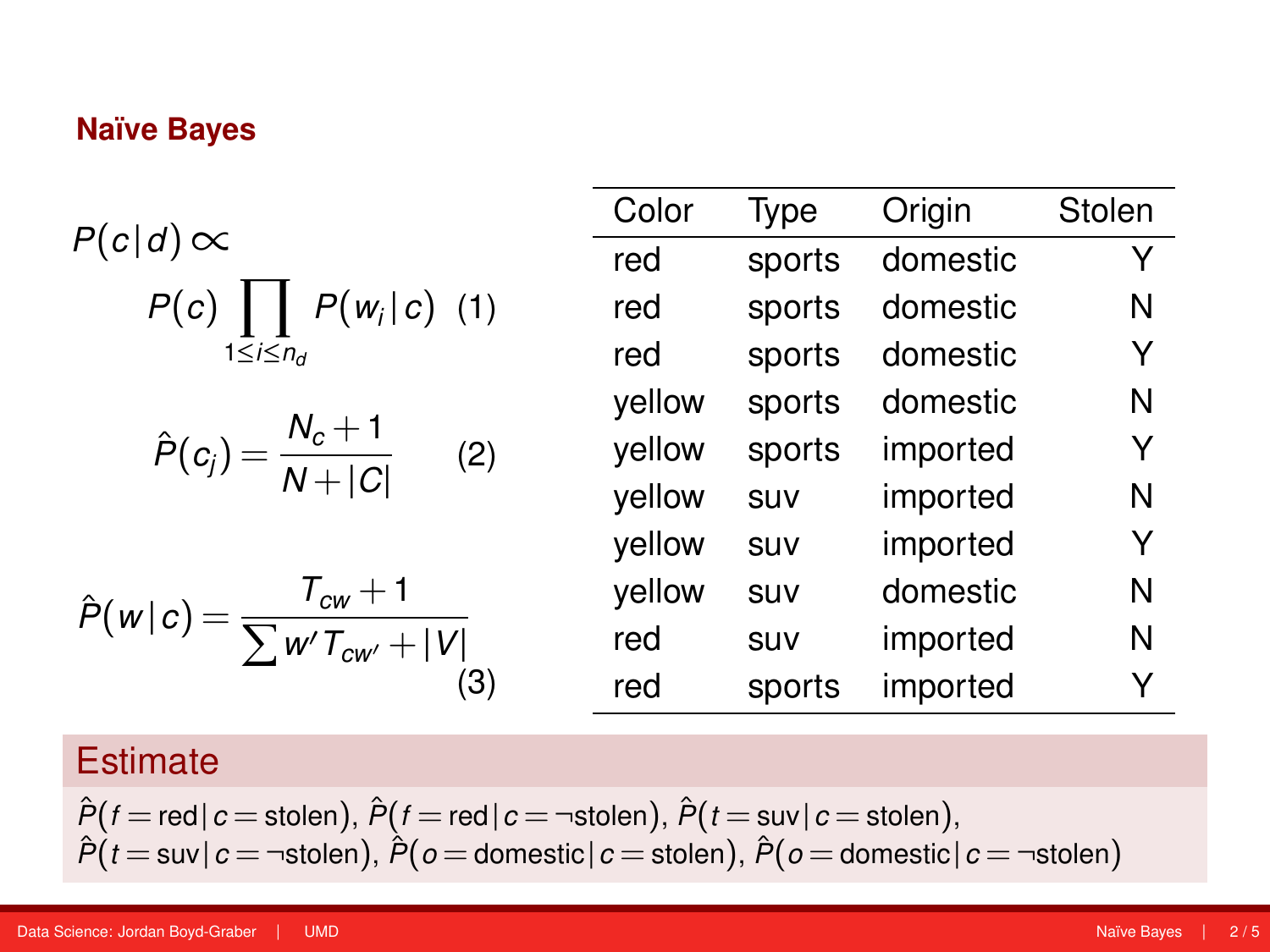## **Naïve Bayes**

$$
P(c|d) \propto
$$
  
 
$$
P(c) \prod_{1 \leq i \leq n_d} P(w_i|c) \quad (1)
$$

$$
\hat{P}(c_j) = \frac{N_c + 1}{N + |C|} \qquad (2)
$$

$$
\hat{P}(w|c) = \frac{T_{cw} + 1}{\sum w' T_{cw'} + |V|}
$$
(3)

| Color  | Type   | Origin   | Stolen |
|--------|--------|----------|--------|
| red    | sports | domestic | Y      |
| red    | sports | domestic | N      |
| red    | sports | domestic | Y      |
| yellow | sports | domestic | N      |
| yellow | sports | imported | Y      |
| yellow | SUV    | imported | N      |
| yellow | SUV    | imported | Y      |
| yellow | SUV    | domestic | N      |
| red    | suv    | imported | N      |
| red    | sports | imported | Y      |

## **Estimate**

$$
\hat{P}(f = \text{red} \mid c = \text{stolen}), \ \hat{P}(f = \text{red} \mid c = \neg \text{stolen}), \ \hat{P}(t = \text{sur} \mid c = \text{stolen}), \newline \hat{P}(t = \text{sur} \mid c = \neg \text{stolen}), \ \hat{P}(o = \text{domestic} \mid c = \text{stolen}), \ \hat{P}(o = \text{domestic} \mid c = \neg \text{stolen})
$$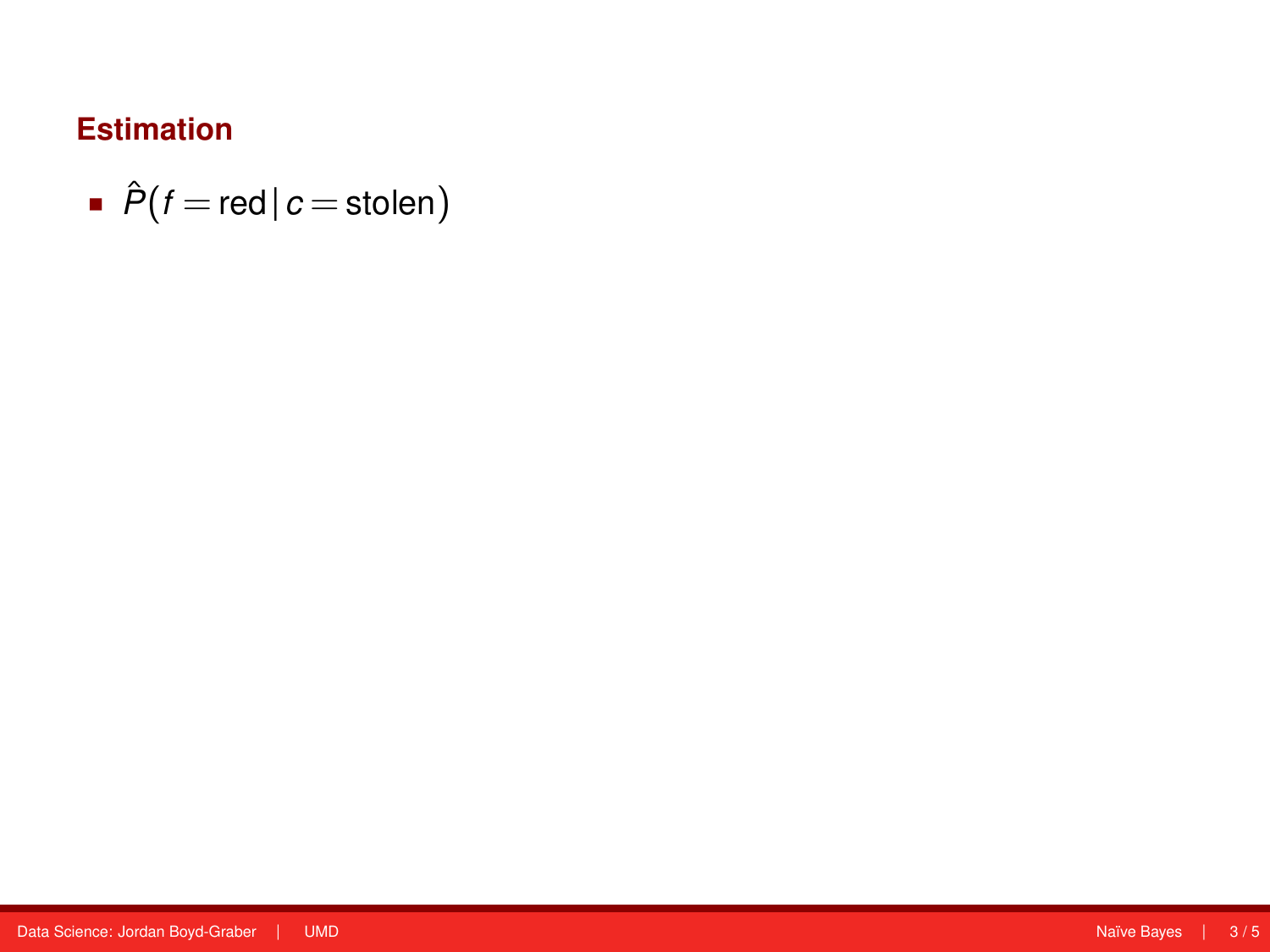$$
\bullet \ \hat{P}(f = \text{red} \mid c = \text{stolen})
$$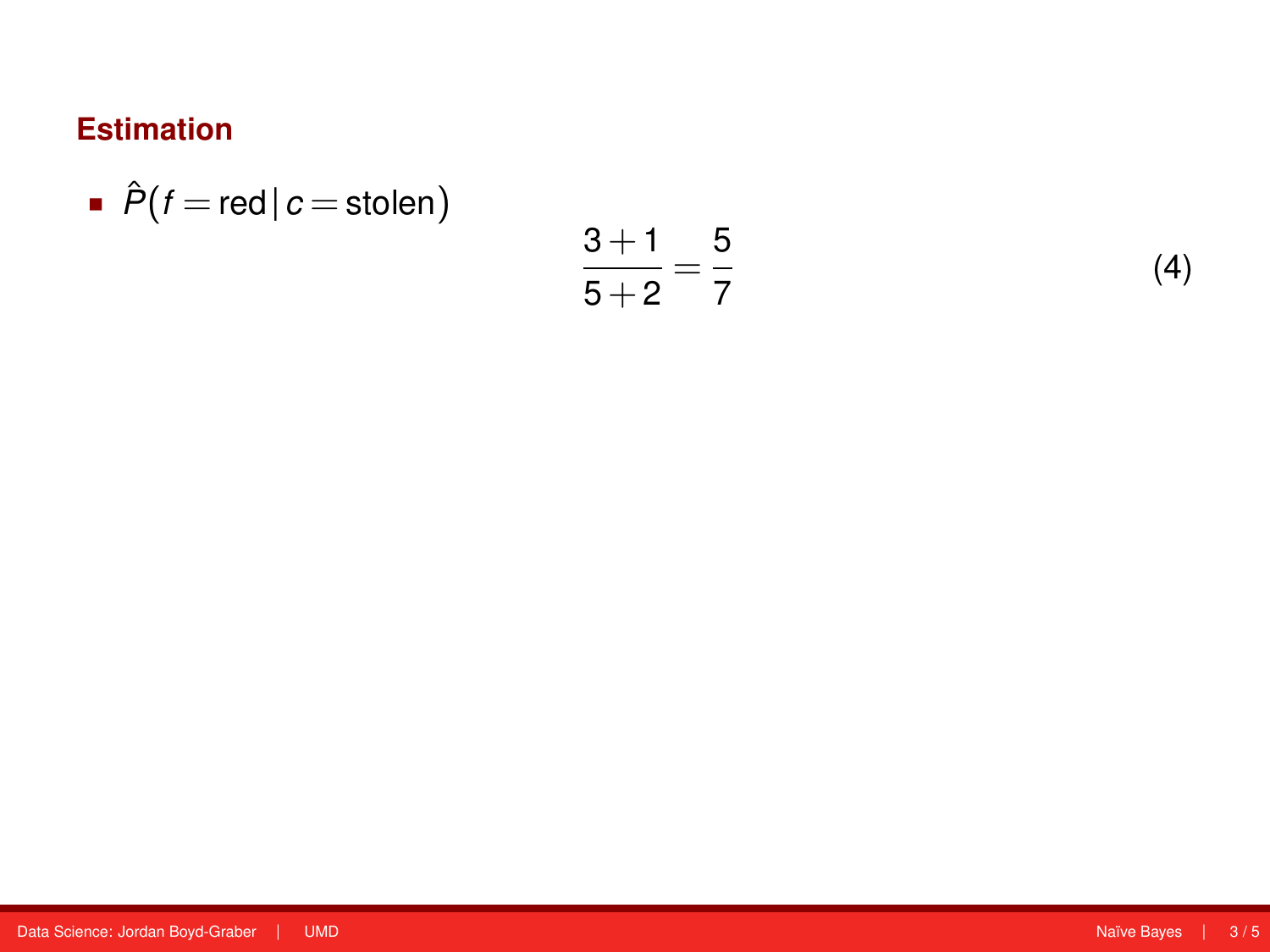$$
\bullet \ \hat{P}(f = \text{red} \mid c = \text{stolen})
$$

$$
\frac{3+1}{5+2}=\frac{5}{7}
$$

(4)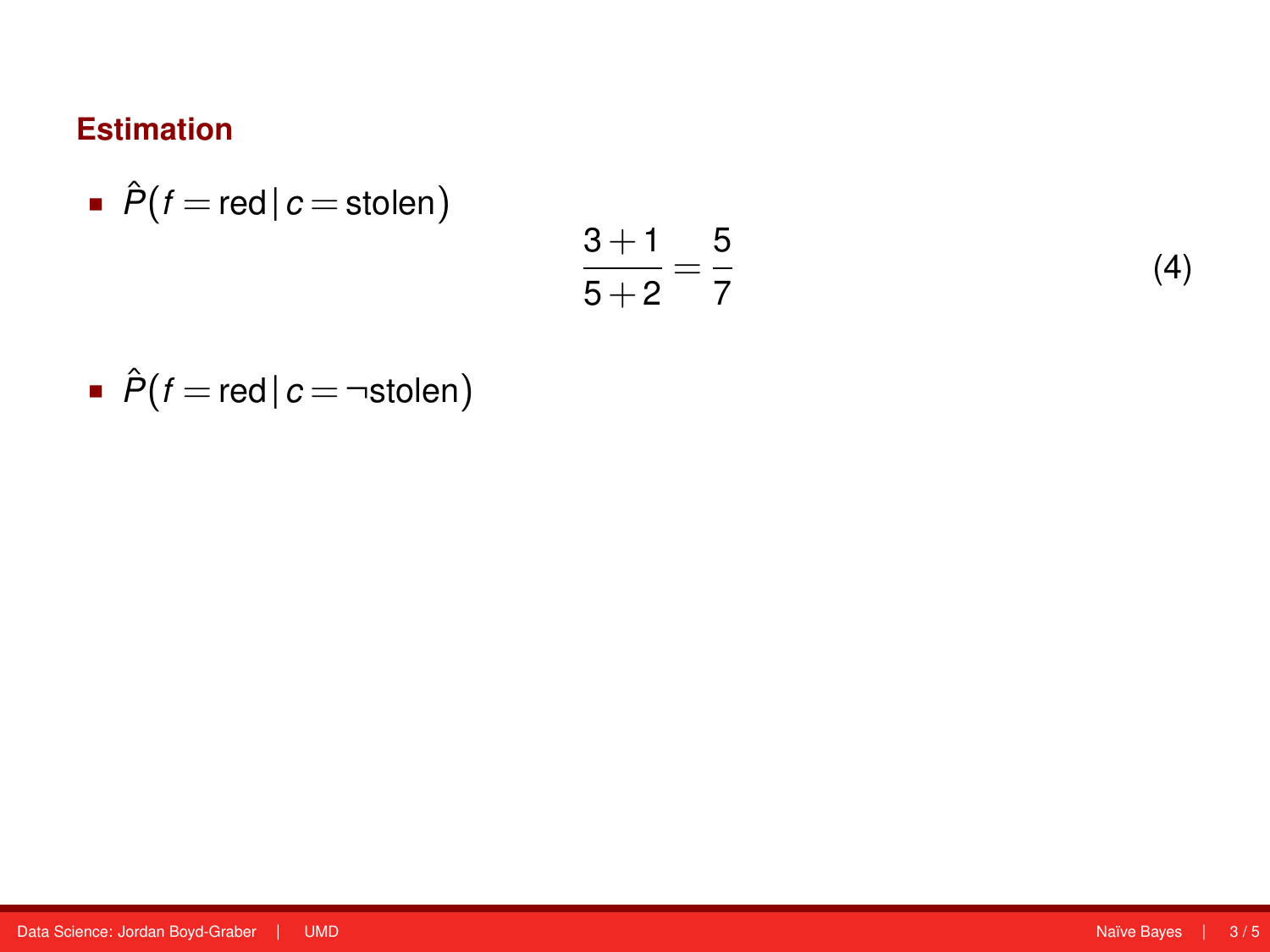$$
\bullet \ \hat{P}(f = \text{red} \, | \, c = \text{stolen})
$$

$$
\frac{3+1}{5+2}=\frac{5}{7}
$$

(4)

 $\hat{P}(f = \text{red} | c = \neg \text{stolen})$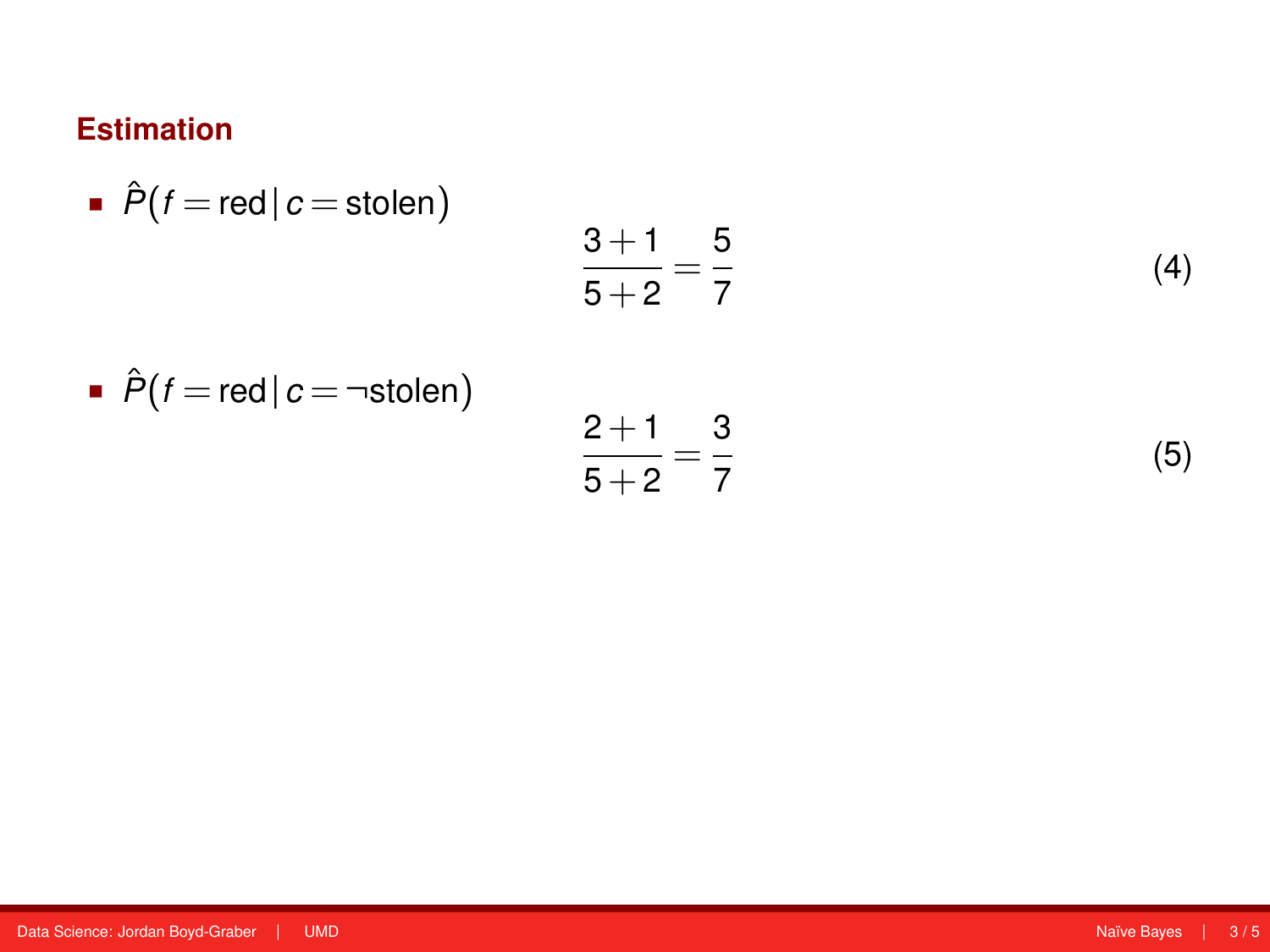$$
\bullet \ \hat{P}(f = \text{red} \, | \, c = \text{stolen})
$$

$$
\frac{3+1}{5+2} = \frac{5}{7}
$$
  

$$
\frac{2+1}{5+2} = \frac{3}{7}
$$

$$
\bullet \ \hat{P}(f = \text{red} \, | \, c = \neg \text{stolen})
$$

(4)

(5)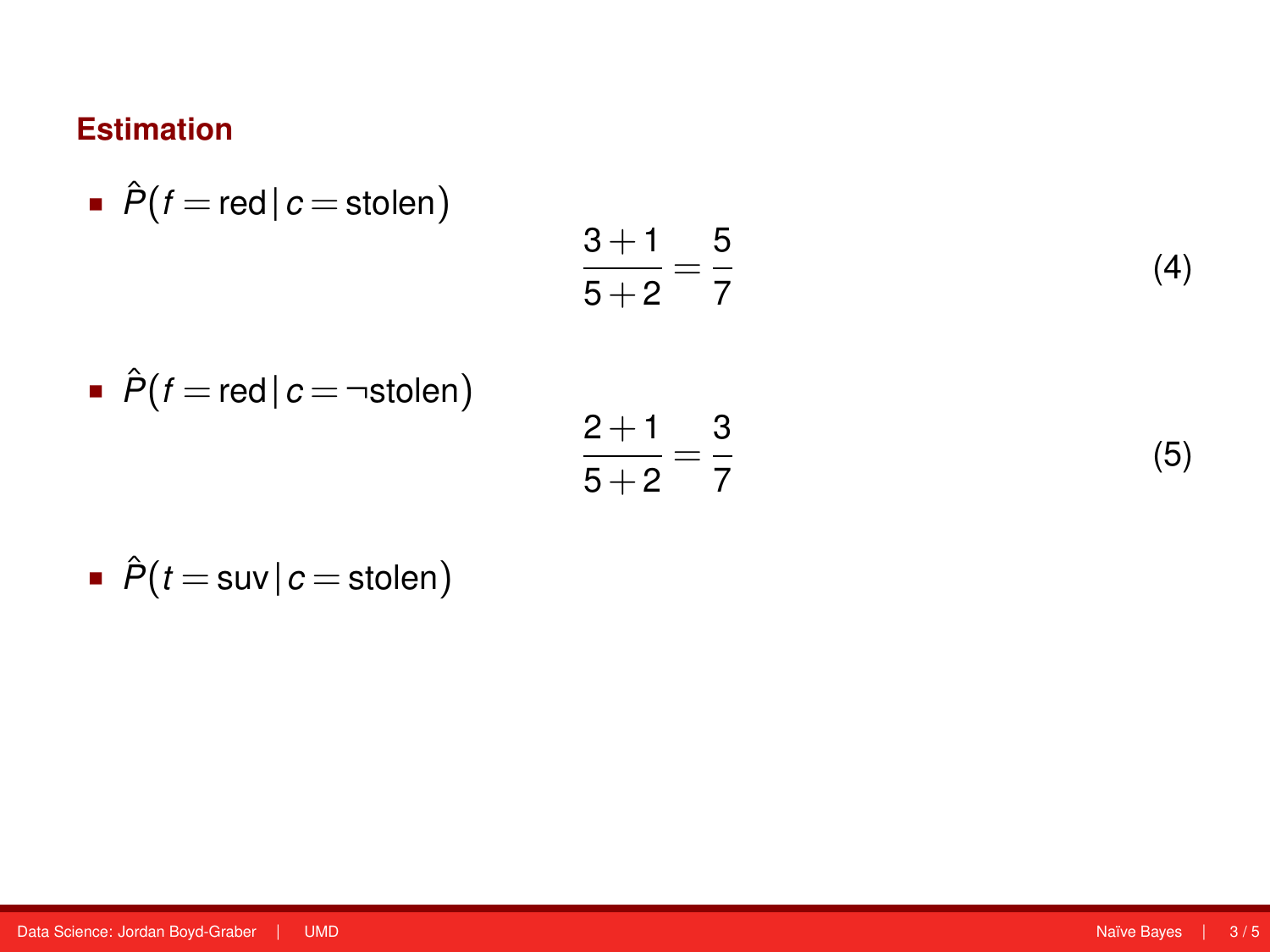• 
$$
\hat{P}(f = \text{red} | c = \text{stolen})
$$
  
\n•  $\hat{P}(f = \text{red} | c = \text{stolen})$   
\n•  $\hat{P}(f = \text{red} | c = \text{stolen})$   
\n $\frac{2+1}{5+2} = \frac{3}{7}$  (5)

$$
\bullet \ \hat{P}(t = \text{sur} \, | \, c = \text{stolen})
$$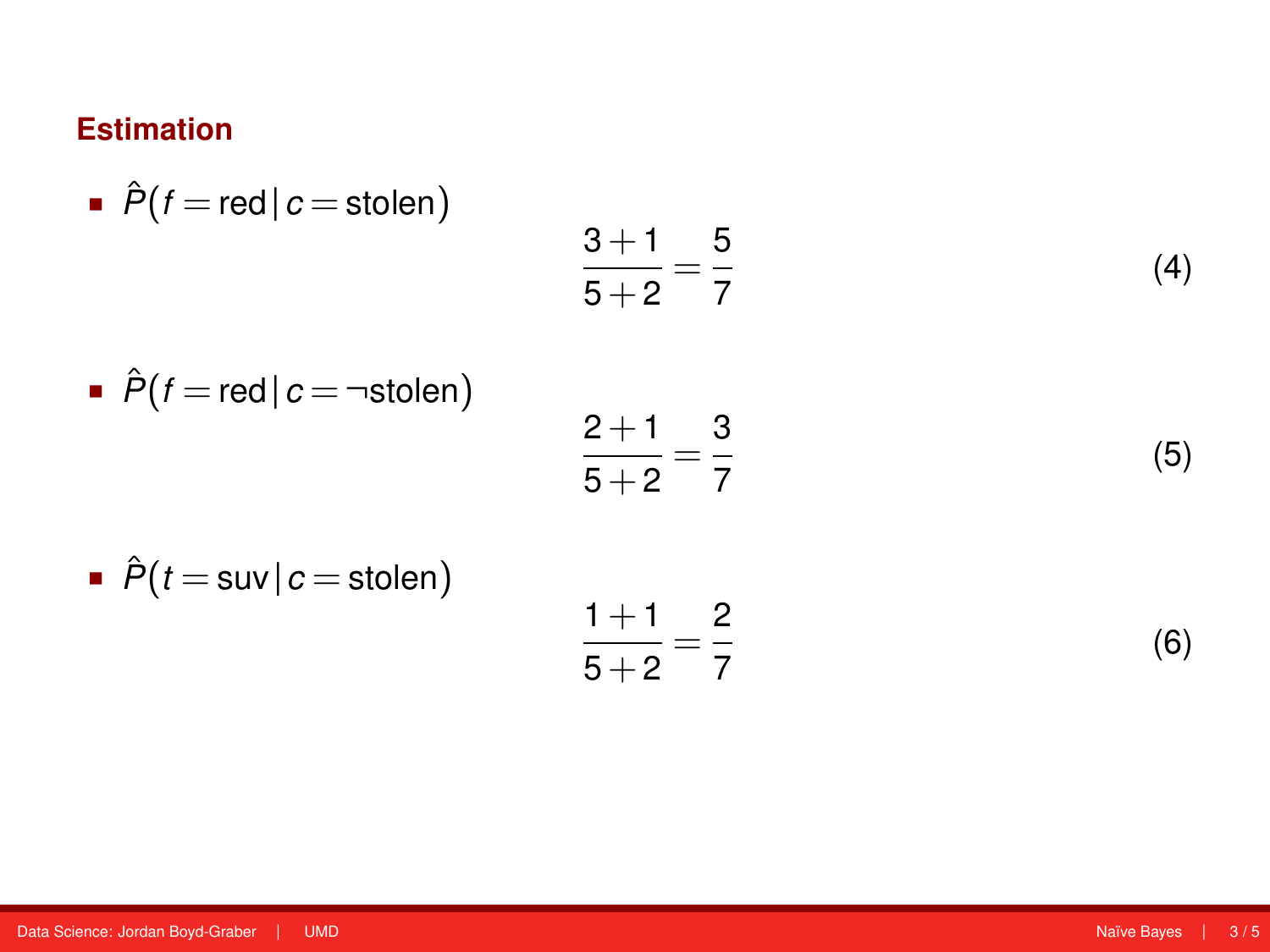\n- \n
$$
\hat{P}(t = \text{red} | c = \text{stolen})
$$
\n
$$
\frac{3+1}{5+2} = \frac{5}{7}
$$
\n
\n- \n
$$
\hat{P}(t = \text{red} | c = \text{stolen})
$$
\n
$$
\frac{2+1}{5+2} = \frac{3}{7}
$$
\n
\n- \n
$$
\hat{P}(t = \text{sur} | c = \text{stolen})
$$
\n
$$
\frac{1+1}{5+2} = \frac{2}{7}
$$
\n
\n- \n
$$
\frac{1+1}{5+2} = \frac{2}{7}
$$
\n
\n- \n
$$
\text{(6)}
$$
\n
\n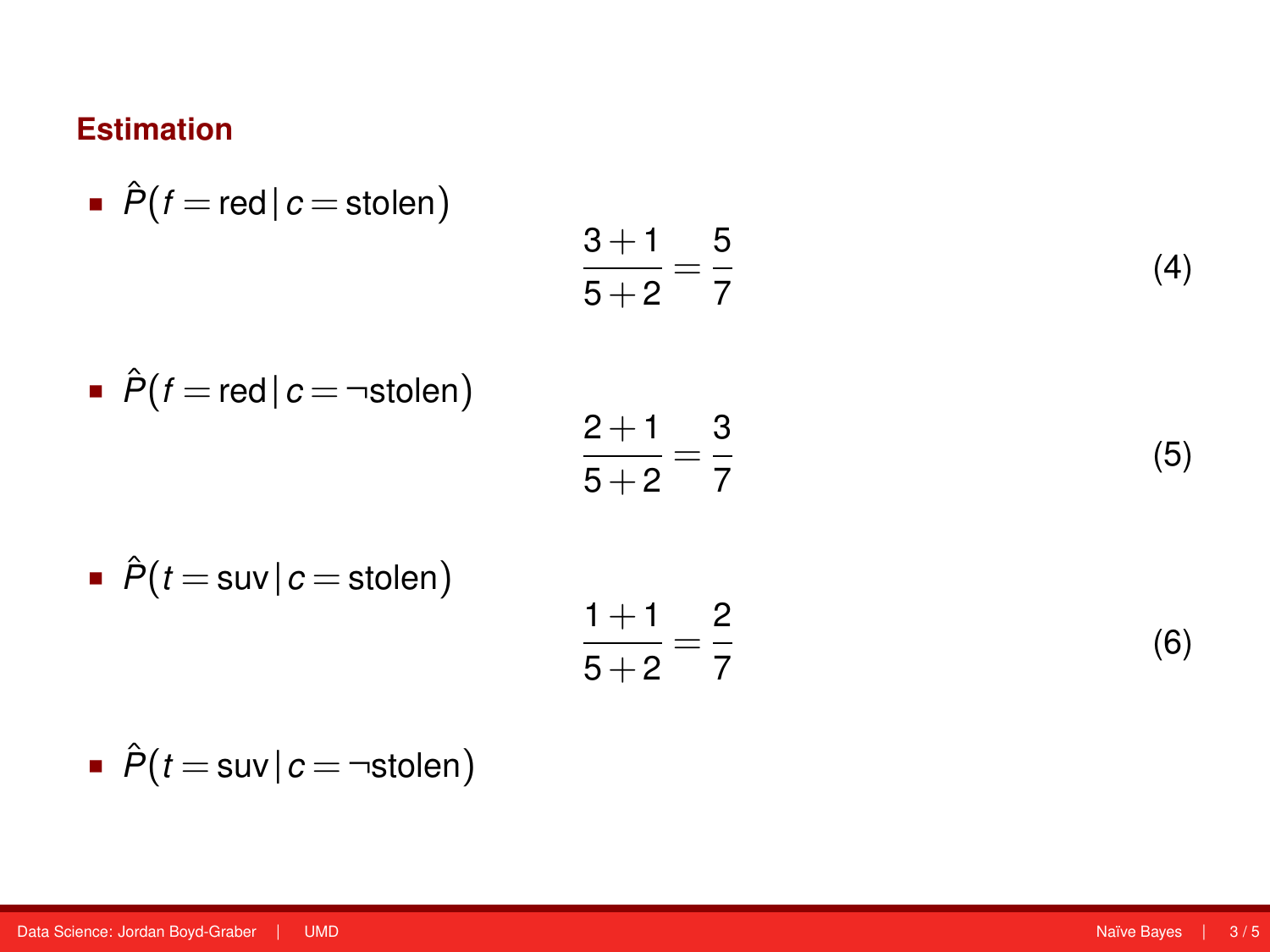\n- \n
$$
\hat{P}(f = \text{red} | c = \text{stolen})
$$
\n
$$
\frac{3+1}{5+2} = \frac{5}{7}
$$
\n
\n- \n
$$
\hat{P}(f = \text{red} | c = \text{stolen})
$$
\n
$$
\frac{2+1}{5+2} = \frac{3}{7}
$$
\n
\n- \n
$$
\hat{P}(t = \text{sur} | c = \text{stolen})
$$
\n
$$
\frac{1+1}{5+2} = \frac{2}{7}
$$
\n
\n- \n
$$
\frac{1+1}{5+2} = \frac{2}{7}
$$
\n
\n- \n
$$
\text{(6)}
$$
\n
\n

• 
$$
\hat{P}(t = \text{sur} | c = \neg \text{stolen})
$$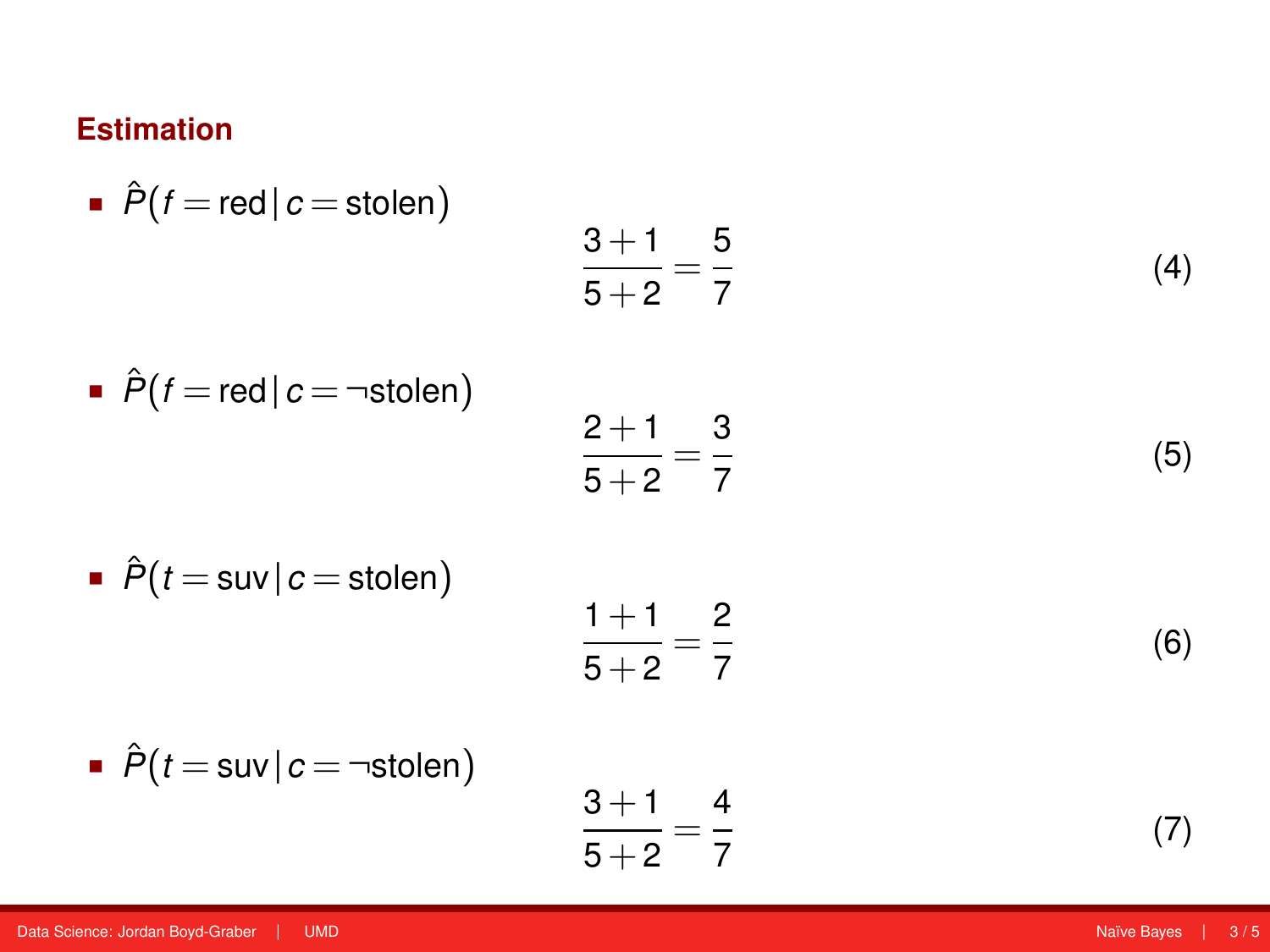\n- \n
$$
\hat{P}(f = \text{red} | c = \text{stolen})
$$
\n
$$
\frac{3+1}{5+2} = \frac{5}{7}
$$
\n
\n- \n
$$
\hat{P}(f = \text{red} | c = \text{-stolen})
$$
\n
$$
\frac{2+1}{5+2} = \frac{3}{7}
$$
\n
\n- \n
$$
\hat{P}(t = \text{sur} | c = \text{stolen})
$$
\n
$$
\frac{1+1}{5+2} = \frac{2}{7}
$$
\n
\n- \n
$$
\hat{P}(t = \text{sur} | c = \text{-stolen})
$$
\n
$$
\frac{3+1}{5+2} = \frac{4}{7}
$$
\n
\n- \n
$$
\frac{3+1}{5+2} = \frac{4}{7}
$$
\n
\n- \n
$$
\text{(6)}
$$
\n
\n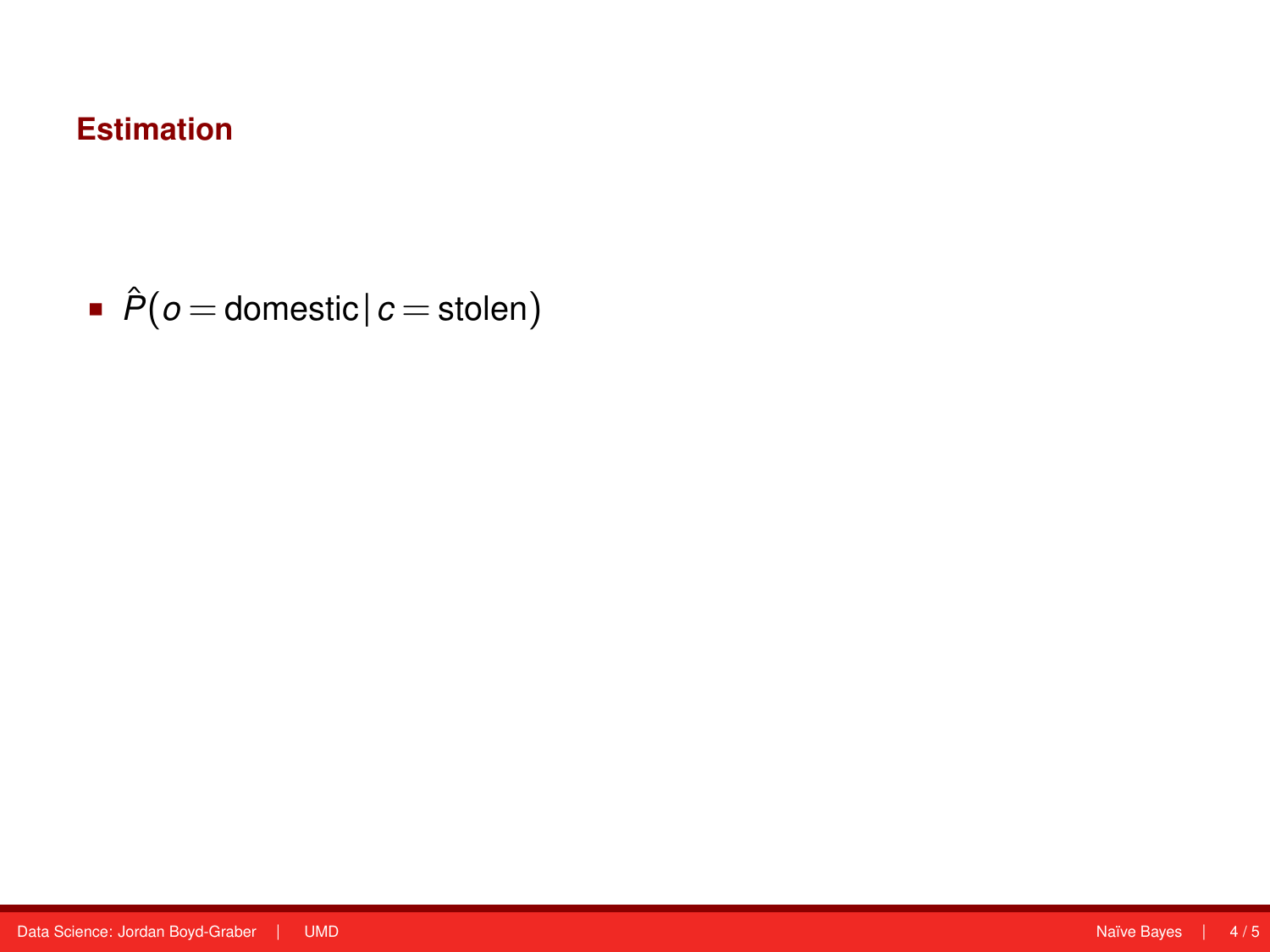$\hat{P}$ ( $o$  = domestic |  $c$  = stolen)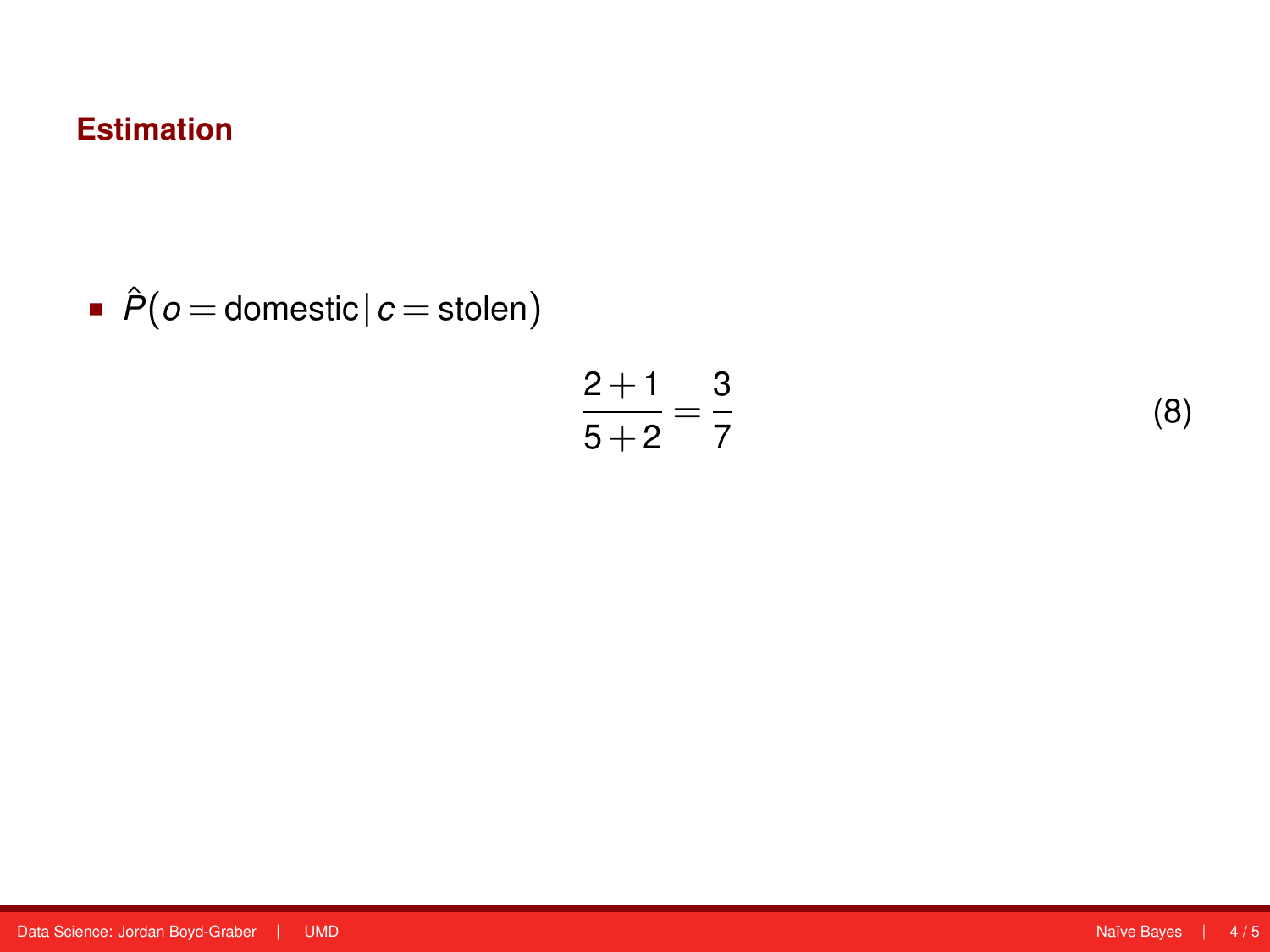$\hat{P}$ ( $o$  = domestic |  $c$  = stolen)

$$
\frac{2+1}{5+2} = \frac{3}{7}
$$

(8)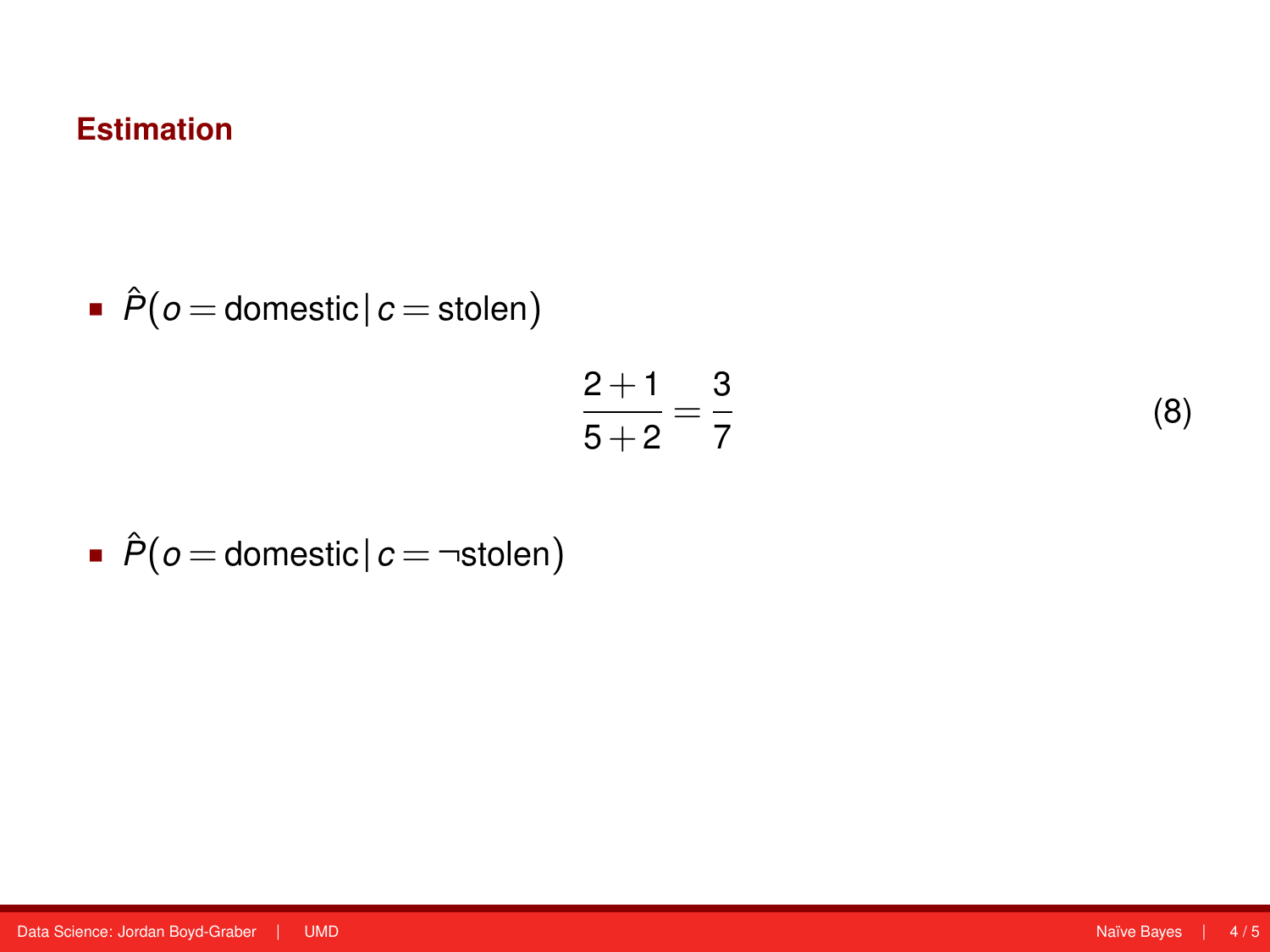\n- $$
\hat{P}(o = \text{domestic} | c = \text{stolen})
$$
\n

$$
\frac{2+1}{5+2} = \frac{3}{7}
$$

(8)

 $\hat{P}$ ( $o$  = domestic |  $c$  = ¬stolen)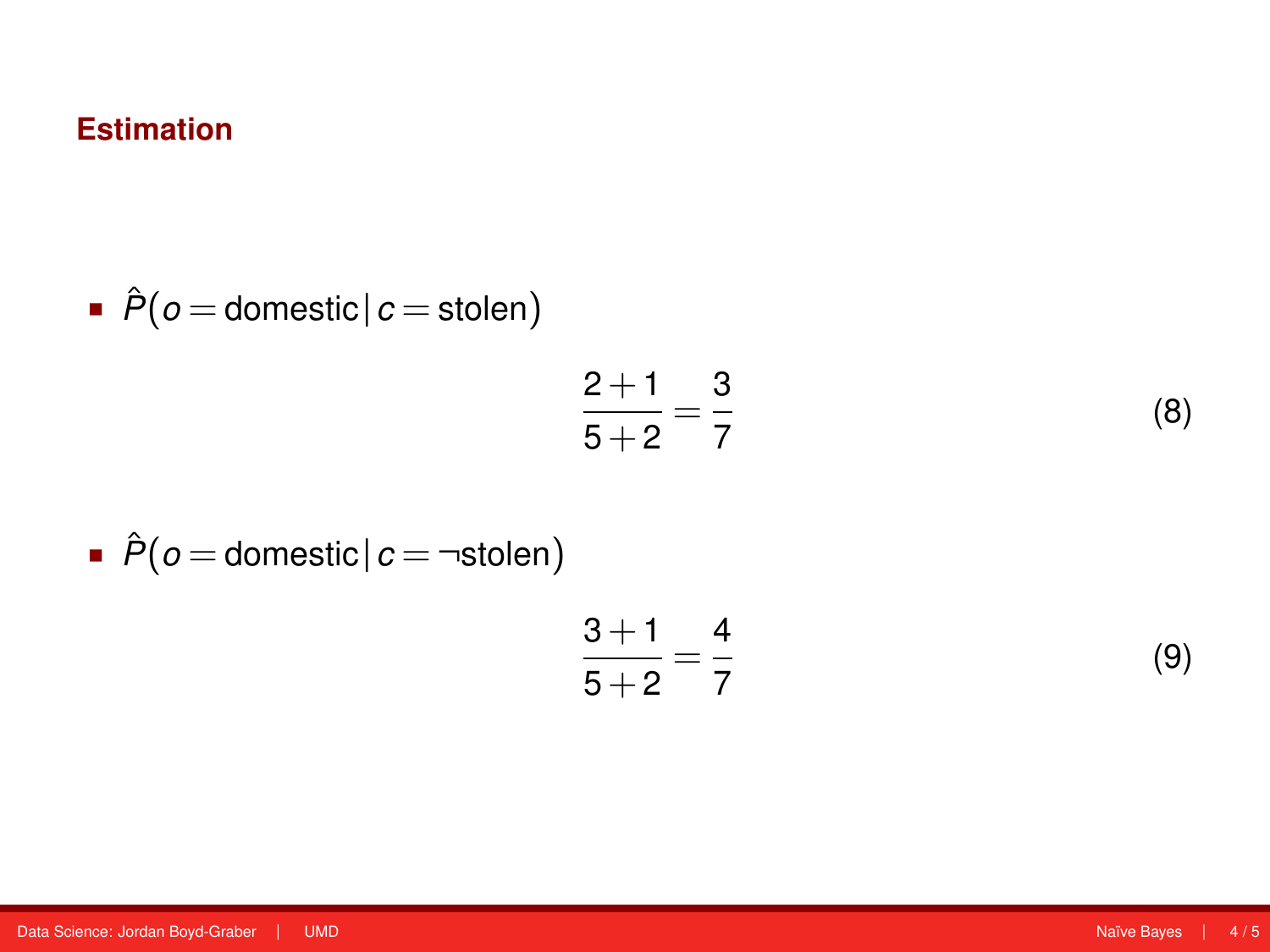• 
$$
\hat{P}(o = \text{domestic} | c = \text{stolen})
$$

$$
\frac{2+1}{5+2} = \frac{3}{7}
$$
 (8)

\n- $$
\hat{P}(o = \text{domestic} | c = \neg \text{stolen})
$$
\n

$$
\frac{3+1}{5+2} = \frac{4}{7}
$$
 (9)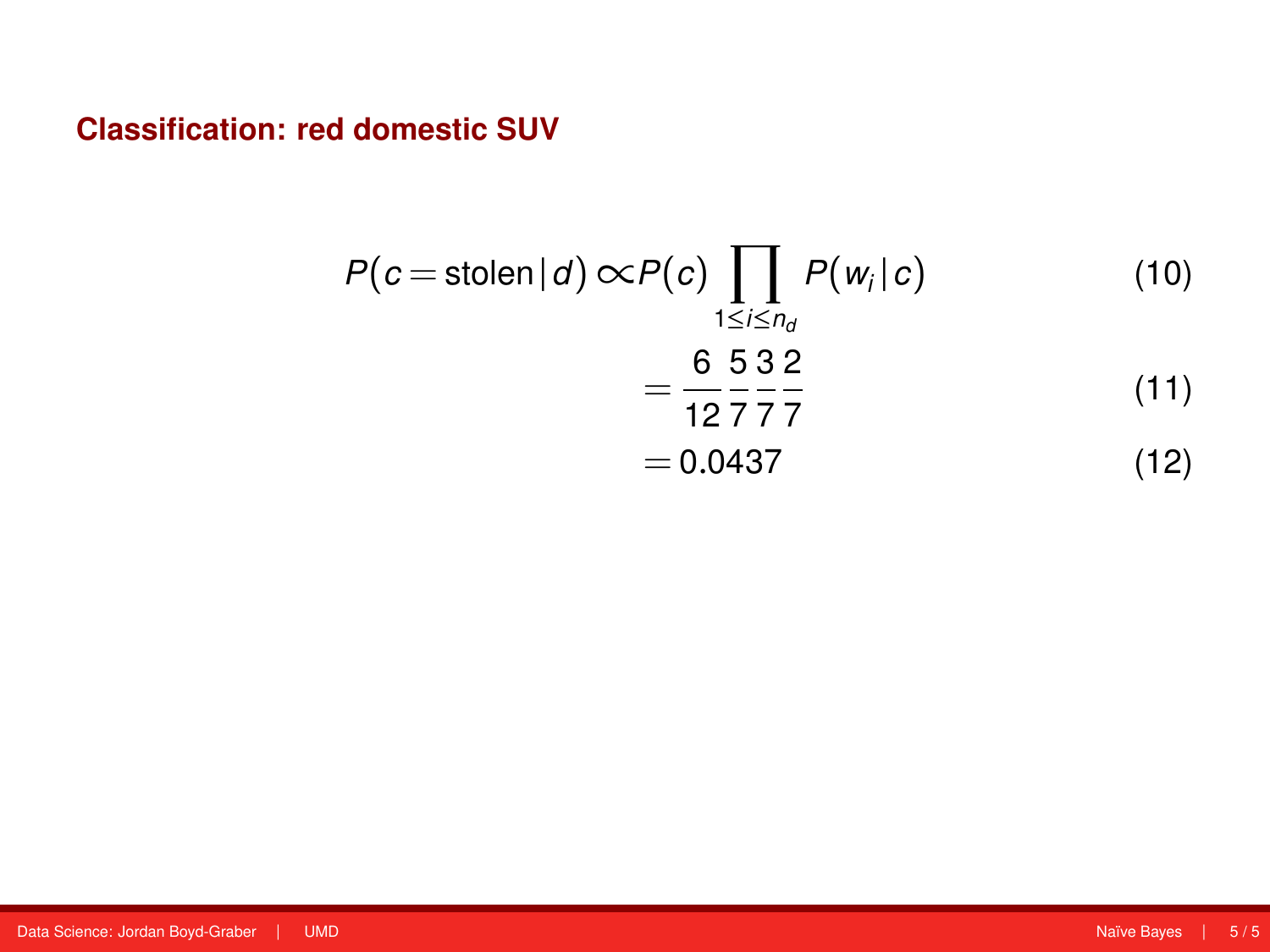**Classification: red domestic SUV**

$$
P(c = \text{stolen}|d) \propto P(c) \prod_{1 \le i \le n_d} P(w_i|c)
$$
(10)  
=  $\frac{6}{12} \frac{5}{7} \frac{3}{7} \frac{2}{7}$   
= 0.0437 (12)